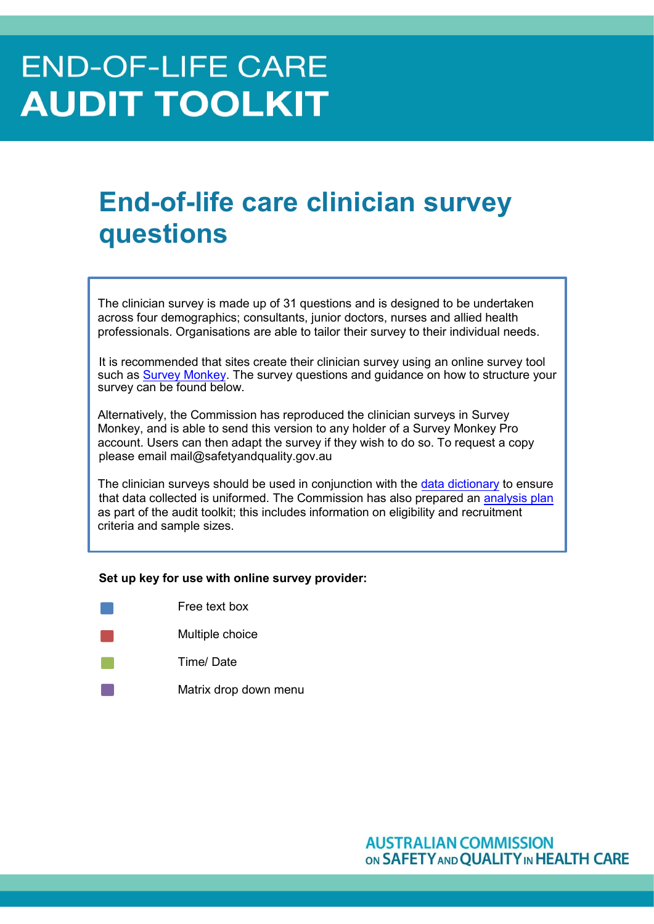# **END-OF-LIFE CARE AUDIT TOOLKIT**

# **End-of-life care clinician survey questions**

The clinician survey is made up of 31 questions and is designed to be undertaken across four demographics; consultants, junior doctors, nurses and allied health professionals. Organisations are able to tailor their survey to their individual needs.

It is recommended that sites create their clinician survey using an online survey tool such as Survey Monkey. The survey questions and guidance on how to structure your survey can be found below.

Alternatively, the Commission has reproduced the clinician surveys in Survey Monkey, and is able to send this version to any holder of a Survey Monkey Pro account. Users can then adapt the survey if they wish to do so. To request a copy please email mail@safetyandquality.gov.au

The clinician surveys should be used in conjunction with the data dictionary to ensure that data collected is uniformed. The Commission has also prepared an analysis plan as part of the audit toolkit; this includes information on eligibility and recruitment criteria and sample sizes.

#### **Set up key for use with online survey provider:**

| Free text box         |
|-----------------------|
| Multiple choice       |
| Time/Date             |
| Matrix drop down menu |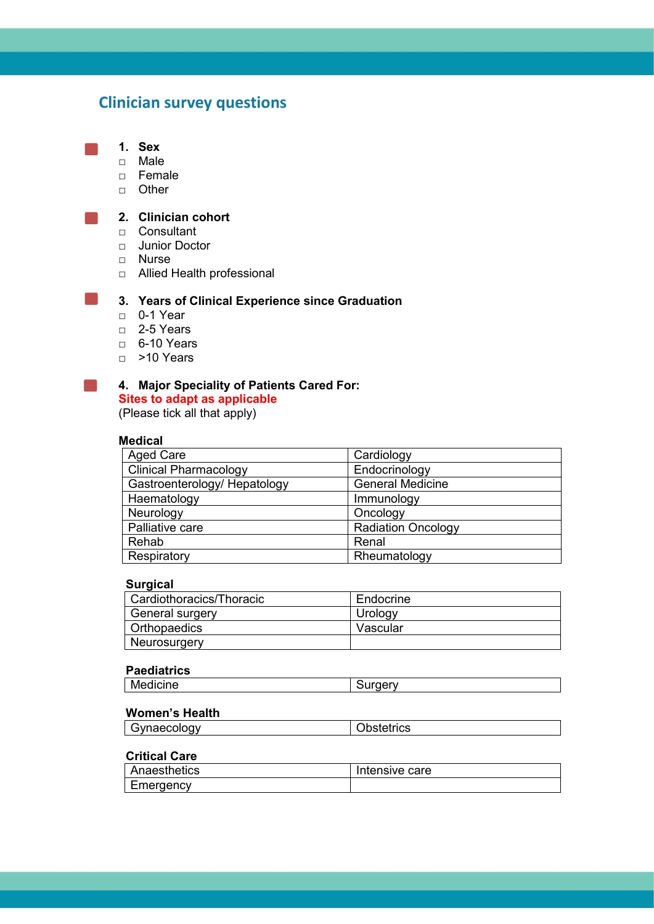# **Clinician survey questions**

#### **1. Sex**

- □ Male
- □ Female
- □ Other

#### **2. Clinician cohort**

- □ Consultant
- □ Junior Doctor
- □ Nurse
- □ Allied Health professional

## **3. Years of Clinical Experience since Graduation**

- □ 0-1 Year
- □ 2-5 Years
- □ 6-10 Years
- □ >10 Years

# **4. Major Speciality of Patients Cared For:**

**Sites to adapt as applicable** (Please tick all that apply)

#### **Medical**

| <b>Aged Care</b>             | Cardiology                |
|------------------------------|---------------------------|
| <b>Clinical Pharmacology</b> | Endocrinology             |
| Gastroenterology/ Hepatology | <b>General Medicine</b>   |
| Haematology                  | Immunology                |
| Neurology                    | Oncology                  |
| Palliative care              | <b>Radiation Oncology</b> |
| Rehab                        | Renal                     |
| Respiratory                  | Rheumatology              |

#### **Surgical**

| Cardiothoracics/Thoracic | Endocrine |
|--------------------------|-----------|
| General surgery          | Urology   |
| <b>Orthopaedics</b>      | Vascular  |
| Neurosurgery             |           |

#### **Paediatrics**

|--|

#### **Women's Health**

| Gynaecology | <b>Obstetrics</b> |
|-------------|-------------------|
|             |                   |

# **Critical Care**

| Anaesthetics | Intensive care |
|--------------|----------------|
| Emergency    |                |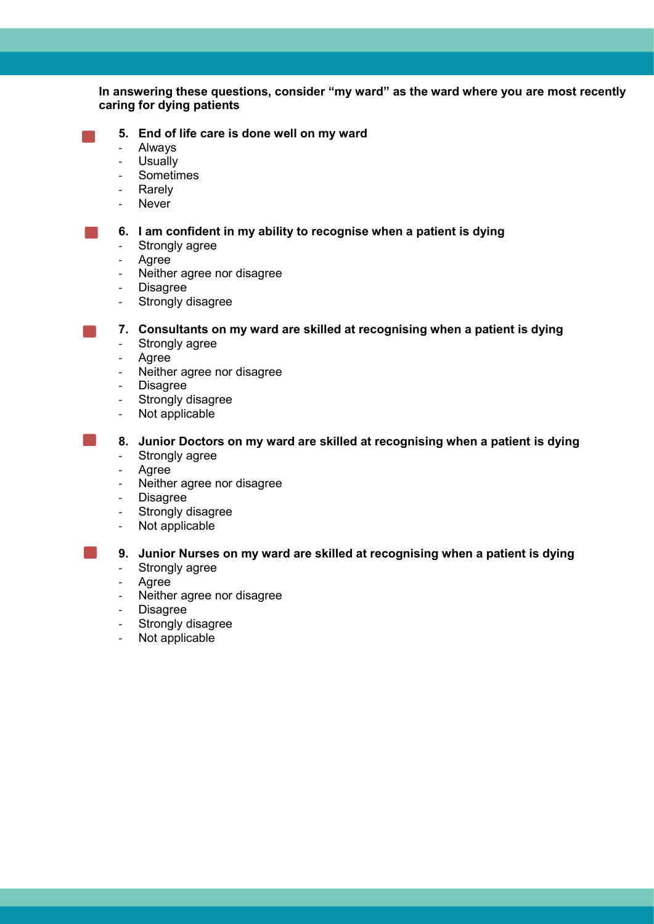## **In answering these questions, consider "my ward" as the ward where you are most recently caring for dying patients**

- **5. End of life care is done well on my ward**
- Always
- Usually
- Sometimes
- **Rarely**
- Never

**6. I am confident in my ability to recognise when a patient is dying**

- Strongly agree
- Agree
- Neither agree nor disagree
- Disagree
- Strongly disagree

**7. Consultants on my ward are skilled at recognising when a patient is dying**

- Strongly agree
- Agree
- Neither agree nor disagree
- Disagree
- Strongly disagree
- Not applicable
- **8. Junior Doctors on my ward are skilled at recognising when a patient is dying** - Strongly agree
	- Agree
	- Neither agree nor disagree<br>- Disagree
	- **Disagree**
	- Strongly disagree
	- Not applicable

# **9. Junior Nurses on my ward are skilled at recognising when a patient is dying**

- Strongly agree
- Agree
- Neither agree nor disagree
- **Disagree**
- Strongly disagree
- Not applicable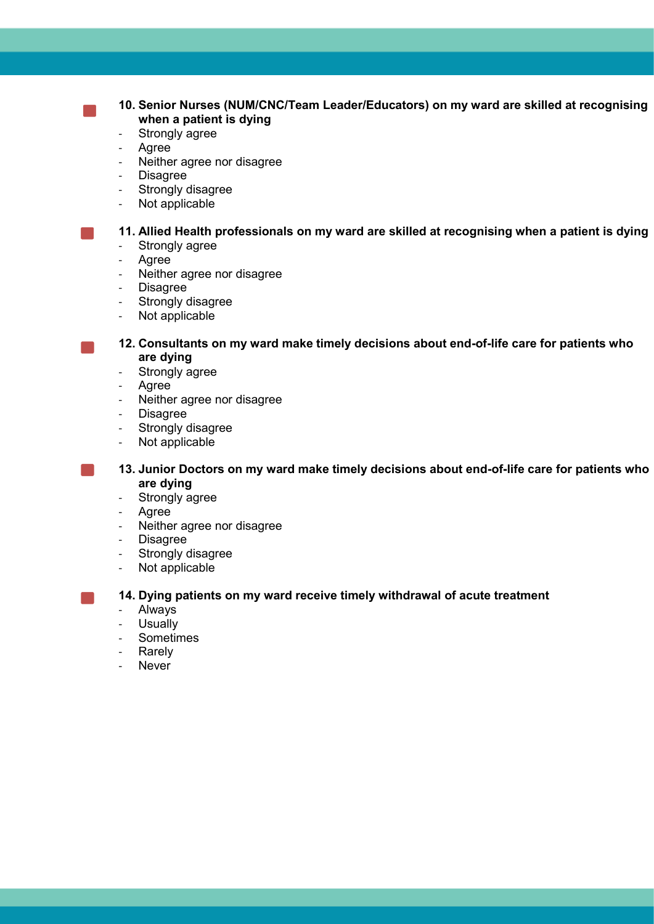# **10. Senior Nurses (NUM/CNC/Team Leader/Educators) on my ward are skilled at recognising when a patient is dying**

- Strongly agree
- **Agree**
- Neither agree nor disagree
- Disagree
- Strongly disagree
- Not applicable

**11. Allied Health professionals on my ward are skilled at recognising when a patient is dying**

- Strongly agree
- Agree
- Neither agree nor disagree
- Disagree
- Strongly disagree
- Not applicable

**12. Consultants on my ward make timely decisions about end-of-life care for patients who are dying**

- Strongly agree
- Agree
- Neither agree nor disagree
- Disagree
- Strongly disagree
- Not applicable

**13. Junior Doctors on my ward make timely decisions about end-of-life care for patients who are dying**

- Strongly agree
- Agree
- Neither agree nor disagree
- Disagree
- Strongly disagree
- Not applicable

**14. Dying patients on my ward receive timely withdrawal of acute treatment**

- Always
- Usually
- Sometimes
- **Rarely**
- **Never**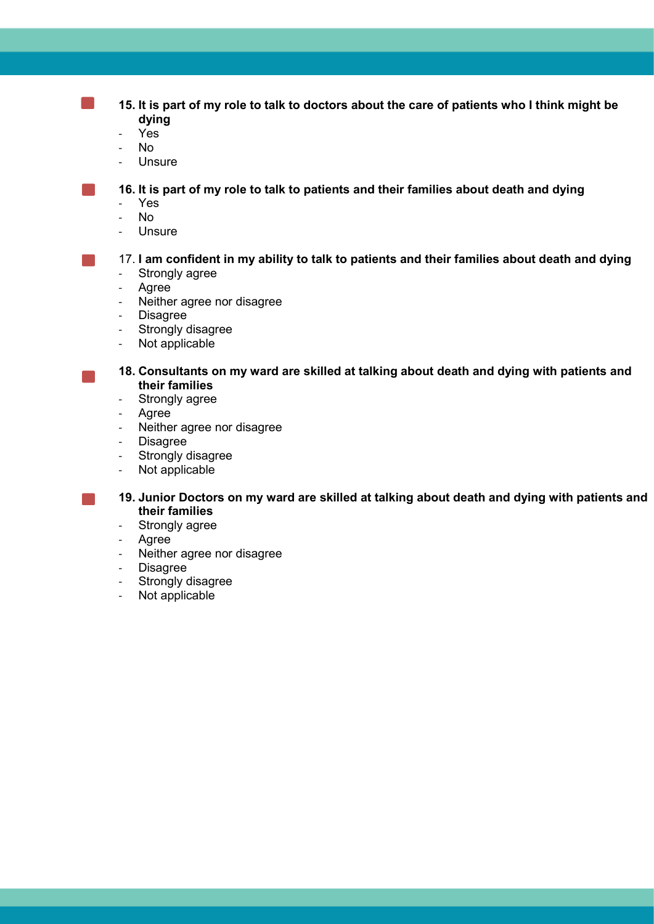**15. It is part of my role to talk to doctors about the care of patients who I think might be dying**

Yes

×.

- No
- Unsure

**16. It is part of my role to talk to patients and their families about death and dying**

- Yes
- No
- **Unsure**

# 17. **I am confident in my ability to talk to patients and their families about death and dying**

- Strongly agree
- Agree
- Neither agree nor disagree
- Disagree
- Strongly disagree
- Not applicable

**18. Consultants on my ward are skilled at talking about death and dying with patients and their families**

- Strongly agree
- Agree
- Neither agree nor disagree
- Disagree
- Strongly disagree
- Not applicable
- **19. Junior Doctors on my ward are skilled at talking about death and dying with patients and their families**
- Strongly agree
- Agree
- Neither agree nor disagree
- Disagree
- Strongly disagree
- Not applicable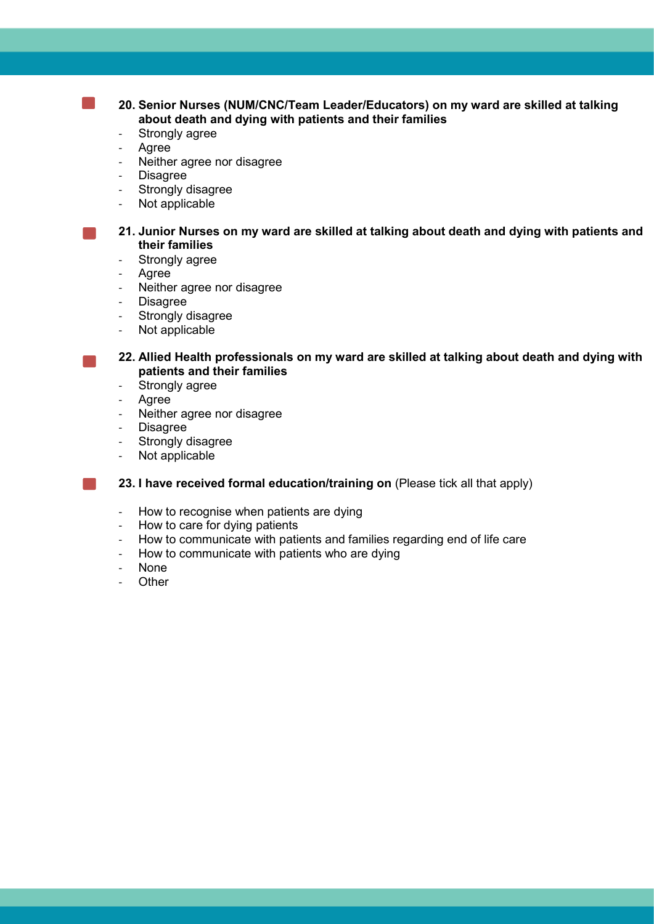**20. Senior Nurses (NUM/CNC/Team Leader/Educators) on my ward are skilled at talking about death and dying with patients and their families** 

- Strongly agree
- **Agree**
- Neither agree nor disagree
- Disagree
- Strongly disagree
- Not applicable

**21. Junior Nurses on my ward are skilled at talking about death and dying with patients and their families** 

- Strongly agree
- Agree
- Neither agree nor disagree
- **Disagree**
- Strongly disagree
- Not applicable

**22. Allied Health professionals on my ward are skilled at talking about death and dying with patients and their families** 

- Strongly agree
- **Agree**
- Neither agree nor disagree
- **Disagree**
- Strongly disagree
- Not applicable

**23. I have received formal education/training on** (Please tick all that apply)

- How to recognise when patients are dying
- How to care for dying patients
- How to communicate with patients and families regarding end of life care
- How to communicate with patients who are dying
- None
- **Other**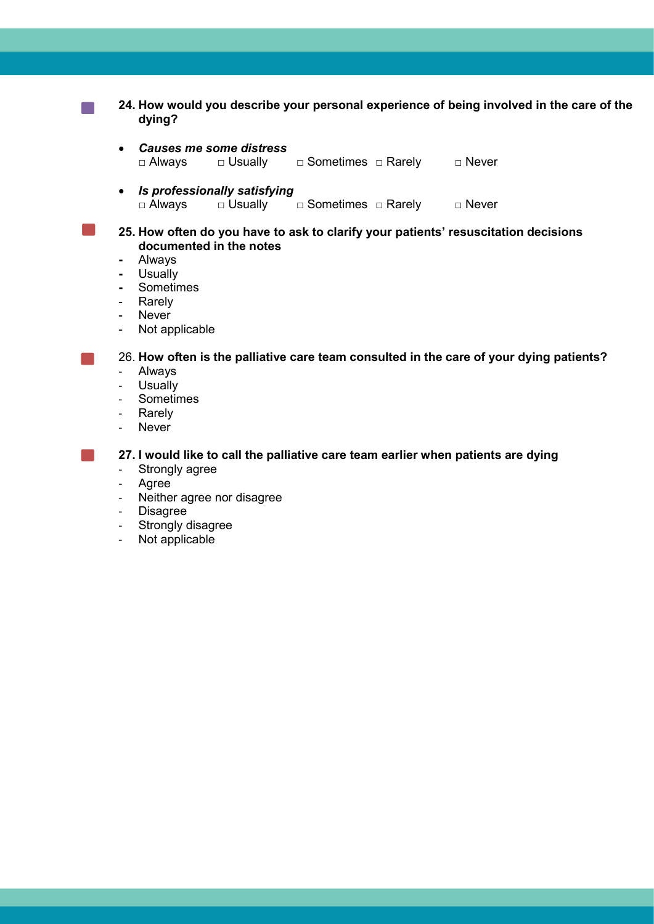**24. How would you describe your personal experience of being involved in the care of the dying?** *Causes me some distress* □ Always □ Usually □ Sometimes □ Rarely □ Never *Is professionally satisfying* □ Always □ Usually □ Sometimes □ Rarely □ Never **25. How often do you have to ask to clarify your patients' resuscitation decisions documented in the notes -** Always **-** Usually **-** Sometimes **Rarely** - Never - Not applicable 26. **How often is the palliative care team consulted in the care of your dying patients?** - Always - Usually - Sometimes **Rarely** - Never **27. I would like to call the palliative care team earlier when patients are dying** - Strongly agree

- Agree
- Neither agree nor disagree
- **Disagree**
- Strongly disagree
- Not applicable